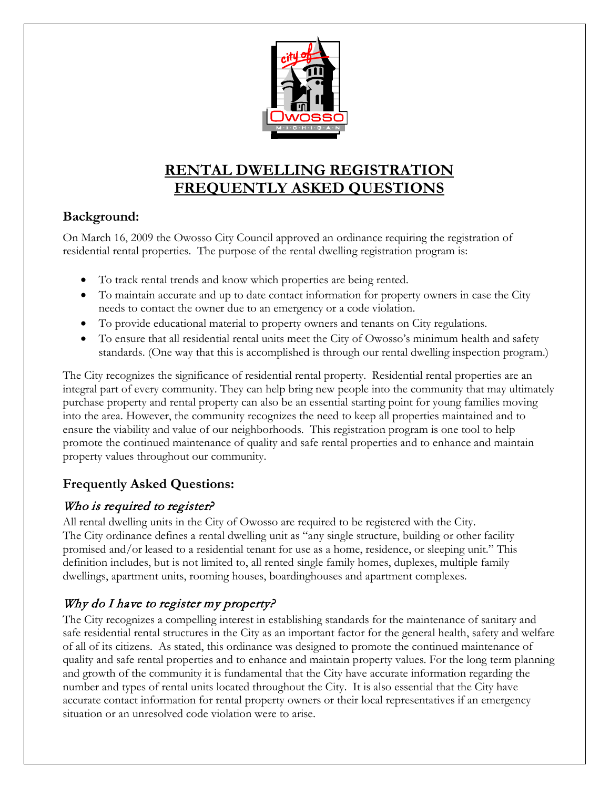

# **RENTAL DWELLING REGISTRATION FREQUENTLY ASKED QUESTIONS**

### **Background:**

On March 16, 2009 the Owosso City Council approved an ordinance requiring the registration of residential rental properties. The purpose of the rental dwelling registration program is:

- To track rental trends and know which properties are being rented.
- To maintain accurate and up to date contact information for property owners in case the City needs to contact the owner due to an emergency or a code violation.
- To provide educational material to property owners and tenants on City regulations.
- To ensure that all residential rental units meet the City of Owosso's minimum health and safety standards. (One way that this is accomplished is through our rental dwelling inspection program.)

The City recognizes the significance of residential rental property. Residential rental properties are an integral part of every community. They can help bring new people into the community that may ultimately purchase property and rental property can also be an essential starting point for young families moving into the area. However, the community recognizes the need to keep all properties maintained and to ensure the viability and value of our neighborhoods. This registration program is one tool to help promote the continued maintenance of quality and safe rental properties and to enhance and maintain property values throughout our community.

### **Frequently Asked Questions:**

### Who is required to register?

All rental dwelling units in the City of Owosso are required to be registered with the City. The City ordinance defines a rental dwelling unit as "any single structure, building or other facility promised and/or leased to a residential tenant for use as a home, residence, or sleeping unit." This definition includes, but is not limited to, all rented single family homes, duplexes, multiple family dwellings, apartment units, rooming houses, boardinghouses and apartment complexes.

## Why do I have to register my property?

The City recognizes a compelling interest in establishing standards for the maintenance of sanitary and safe residential rental structures in the City as an important factor for the general health, safety and welfare of all of its citizens. As stated, this ordinance was designed to promote the continued maintenance of quality and safe rental properties and to enhance and maintain property values. For the long term planning and growth of the community it is fundamental that the City have accurate information regarding the number and types of rental units located throughout the City. It is also essential that the City have accurate contact information for rental property owners or their local representatives if an emergency situation or an unresolved code violation were to arise.